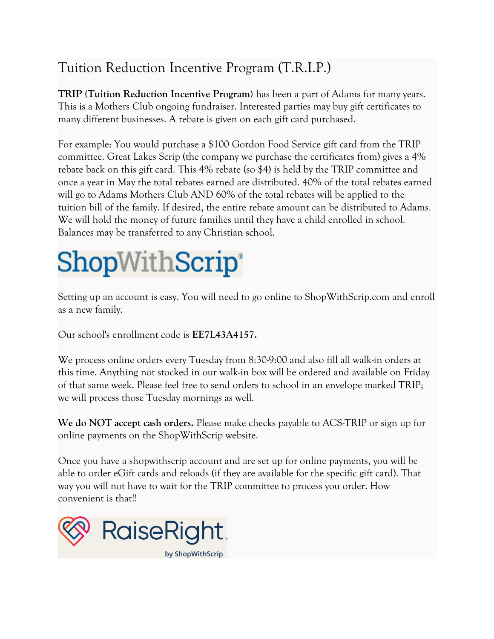## Tuition Reduction Incentive Program (T.R.I.P.)

**TRIP (Tuition Reduction Incentive Program)** has been a part of Adams for many years. This is a Mothers Club ongoing fundraiser. Interested parties may buy gift certificates to many different businesses. A rebate is given on each gift card purchased.

For example: You would purchase a \$100 Gordon Food Service gift card from the TRIP committee. Great Lakes Scrip (the company we purchase the certificates from) gives a 4% rebate back on this gift card. This 4% rebate (so \$4) is held by the TRIP committee and once a year in May the total rebates earned are distributed. 40% of the total rebates earned will go to Adams Mothers Club AND 60% of the total rebates will be applied to the tuition bill of the family. If desired, the entire rebate amount can be distributed to Adams. We will hold the money of future families until they have a child enrolled in school. Balances may be transferred to any Christian school.

## **ShopWithScrip®**

Setting up an account is easy. You will need to go online to ShopWithScrip.com and enroll as a new family.

Our school's enrollment code is **EE7L43A4157.**

We process online orders every Tuesday from 8:30-9:00 and also fill all walk-in orders at this time. Anything not stocked in our walk-in box will be ordered and available on Friday of that same week. Please feel free to send orders to school in an envelope marked TRIP; we will process those Tuesday mornings as well.

**We do NOT accept cash orders.** Please make checks payable to ACS-TRIP or sign up for online payments on the ShopWithScrip website.

Once you have a shopwithscrip account and are set up for online payments, you will be able to order eGift cards and reloads (if they are available for the specific gift card). That way you will not have to wait for the TRIP committee to process you order. How convenient is that!!